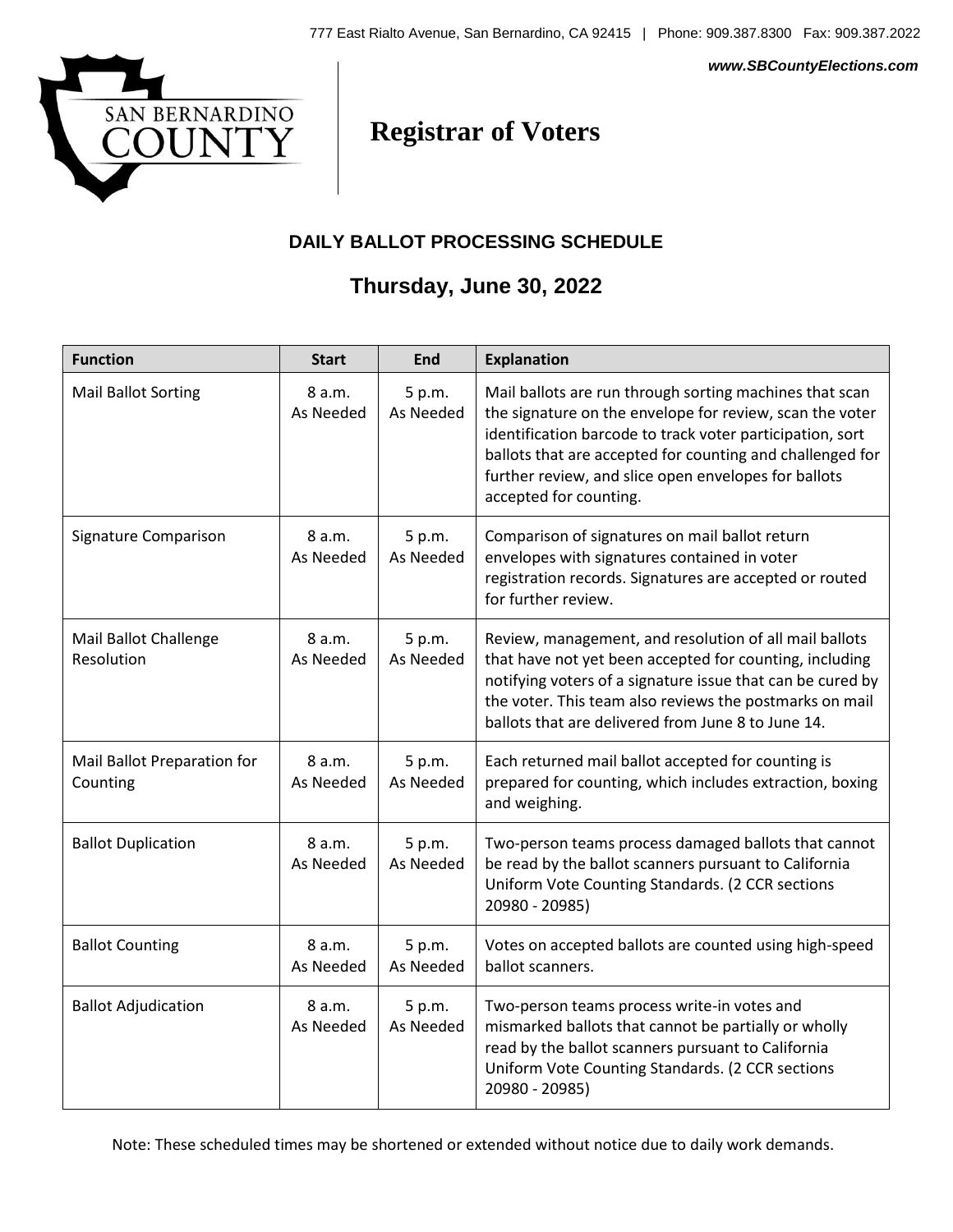

#### *www.SBCountyElections.com*

# **Registrar of Voters**

#### **DAILY BALLOT PROCESSING SCHEDULE**

### **Thursday, June 30, 2022**

| <b>Function</b>                         | <b>Start</b>        | <b>End</b>          | <b>Explanation</b>                                                                                                                                                                                                                                                                                                              |
|-----------------------------------------|---------------------|---------------------|---------------------------------------------------------------------------------------------------------------------------------------------------------------------------------------------------------------------------------------------------------------------------------------------------------------------------------|
| <b>Mail Ballot Sorting</b>              | 8 a.m.<br>As Needed | 5 p.m.<br>As Needed | Mail ballots are run through sorting machines that scan<br>the signature on the envelope for review, scan the voter<br>identification barcode to track voter participation, sort<br>ballots that are accepted for counting and challenged for<br>further review, and slice open envelopes for ballots<br>accepted for counting. |
| Signature Comparison                    | 8 a.m.<br>As Needed | 5 p.m.<br>As Needed | Comparison of signatures on mail ballot return<br>envelopes with signatures contained in voter<br>registration records. Signatures are accepted or routed<br>for further review.                                                                                                                                                |
| Mail Ballot Challenge<br>Resolution     | 8 a.m.<br>As Needed | 5 p.m.<br>As Needed | Review, management, and resolution of all mail ballots<br>that have not yet been accepted for counting, including<br>notifying voters of a signature issue that can be cured by<br>the voter. This team also reviews the postmarks on mail<br>ballots that are delivered from June 8 to June 14.                                |
| Mail Ballot Preparation for<br>Counting | 8 a.m.<br>As Needed | 5 p.m.<br>As Needed | Each returned mail ballot accepted for counting is<br>prepared for counting, which includes extraction, boxing<br>and weighing.                                                                                                                                                                                                 |
| <b>Ballot Duplication</b>               | 8 a.m.<br>As Needed | 5 p.m.<br>As Needed | Two-person teams process damaged ballots that cannot<br>be read by the ballot scanners pursuant to California<br>Uniform Vote Counting Standards. (2 CCR sections<br>20980 - 20985)                                                                                                                                             |
| <b>Ballot Counting</b>                  | 8 a.m.<br>As Needed | 5 p.m.<br>As Needed | Votes on accepted ballots are counted using high-speed<br>ballot scanners.                                                                                                                                                                                                                                                      |
| <b>Ballot Adjudication</b>              | 8 a.m.<br>As Needed | 5 p.m.<br>As Needed | Two-person teams process write-in votes and<br>mismarked ballots that cannot be partially or wholly<br>read by the ballot scanners pursuant to California<br>Uniform Vote Counting Standards. (2 CCR sections<br>20980 - 20985)                                                                                                 |

Note: These scheduled times may be shortened or extended without notice due to daily work demands.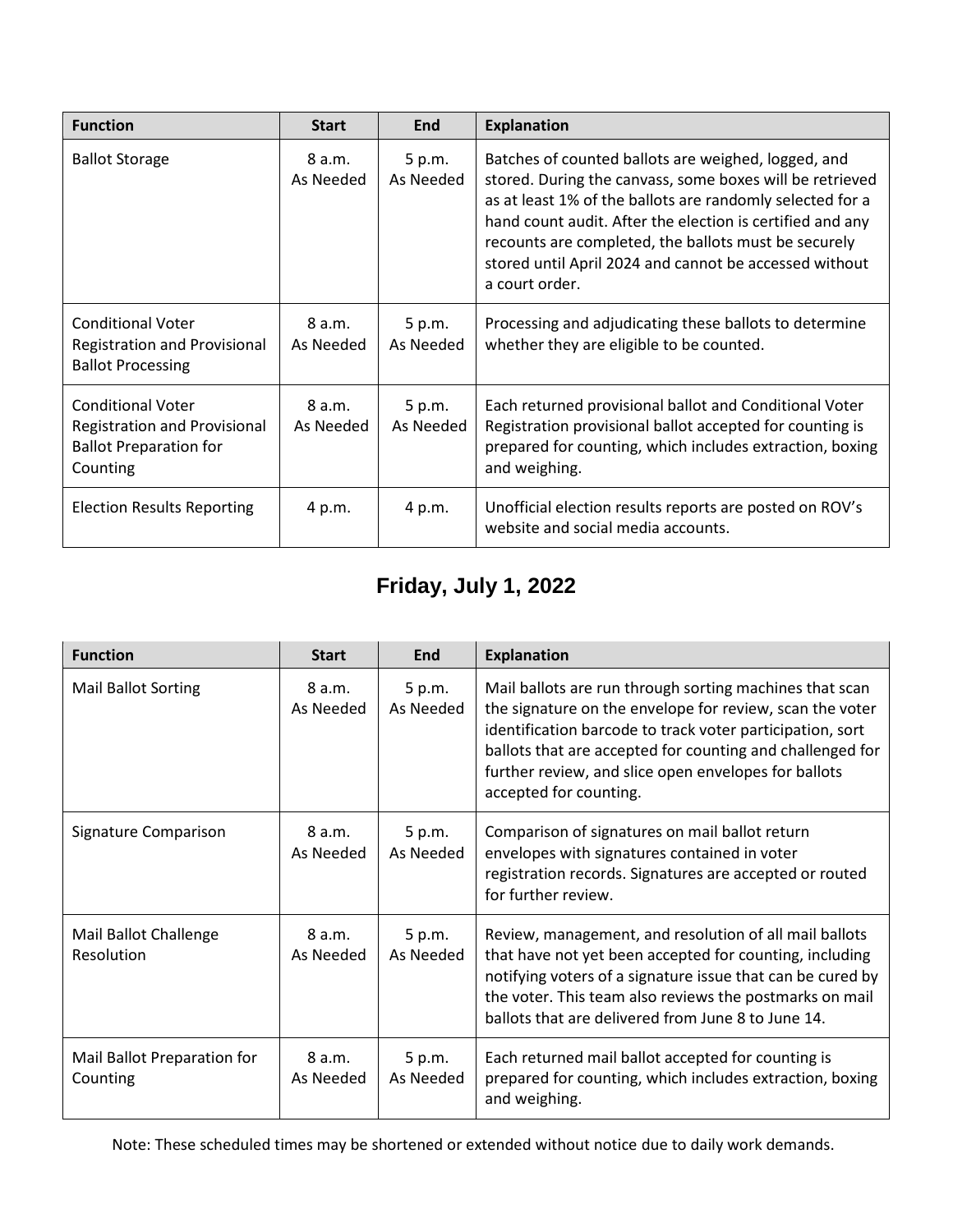| <b>Function</b>                                                                                              | <b>Start</b>        | End                 | <b>Explanation</b>                                                                                                                                                                                                                                                                                                                                                            |
|--------------------------------------------------------------------------------------------------------------|---------------------|---------------------|-------------------------------------------------------------------------------------------------------------------------------------------------------------------------------------------------------------------------------------------------------------------------------------------------------------------------------------------------------------------------------|
| <b>Ballot Storage</b>                                                                                        | 8 a.m.<br>As Needed | 5 p.m.<br>As Needed | Batches of counted ballots are weighed, logged, and<br>stored. During the canvass, some boxes will be retrieved<br>as at least 1% of the ballots are randomly selected for a<br>hand count audit. After the election is certified and any<br>recounts are completed, the ballots must be securely<br>stored until April 2024 and cannot be accessed without<br>a court order. |
| <b>Conditional Voter</b><br><b>Registration and Provisional</b><br><b>Ballot Processing</b>                  | 8 a.m.<br>As Needed | 5 p.m.<br>As Needed | Processing and adjudicating these ballots to determine<br>whether they are eligible to be counted.                                                                                                                                                                                                                                                                            |
| <b>Conditional Voter</b><br><b>Registration and Provisional</b><br><b>Ballot Preparation for</b><br>Counting | 8 a.m.<br>As Needed | 5 p.m.<br>As Needed | Each returned provisional ballot and Conditional Voter<br>Registration provisional ballot accepted for counting is<br>prepared for counting, which includes extraction, boxing<br>and weighing.                                                                                                                                                                               |
| <b>Election Results Reporting</b>                                                                            | 4 p.m.              | 4 p.m.              | Unofficial election results reports are posted on ROV's<br>website and social media accounts.                                                                                                                                                                                                                                                                                 |

## **Friday, July 1, 2022**

| <b>Function</b>                         | <b>Start</b>        | End                 | <b>Explanation</b>                                                                                                                                                                                                                                                                                                              |
|-----------------------------------------|---------------------|---------------------|---------------------------------------------------------------------------------------------------------------------------------------------------------------------------------------------------------------------------------------------------------------------------------------------------------------------------------|
| <b>Mail Ballot Sorting</b>              | 8 a.m.<br>As Needed | 5 p.m.<br>As Needed | Mail ballots are run through sorting machines that scan<br>the signature on the envelope for review, scan the voter<br>identification barcode to track voter participation, sort<br>ballots that are accepted for counting and challenged for<br>further review, and slice open envelopes for ballots<br>accepted for counting. |
| Signature Comparison                    | 8 a.m.<br>As Needed | 5 p.m.<br>As Needed | Comparison of signatures on mail ballot return<br>envelopes with signatures contained in voter<br>registration records. Signatures are accepted or routed<br>for further review.                                                                                                                                                |
| Mail Ballot Challenge<br>Resolution     | 8 a.m.<br>As Needed | 5 p.m.<br>As Needed | Review, management, and resolution of all mail ballots<br>that have not yet been accepted for counting, including<br>notifying voters of a signature issue that can be cured by<br>the voter. This team also reviews the postmarks on mail<br>ballots that are delivered from June 8 to June 14.                                |
| Mail Ballot Preparation for<br>Counting | 8 a.m.<br>As Needed | 5 p.m.<br>As Needed | Each returned mail ballot accepted for counting is<br>prepared for counting, which includes extraction, boxing<br>and weighing.                                                                                                                                                                                                 |

Note: These scheduled times may be shortened or extended without notice due to daily work demands.